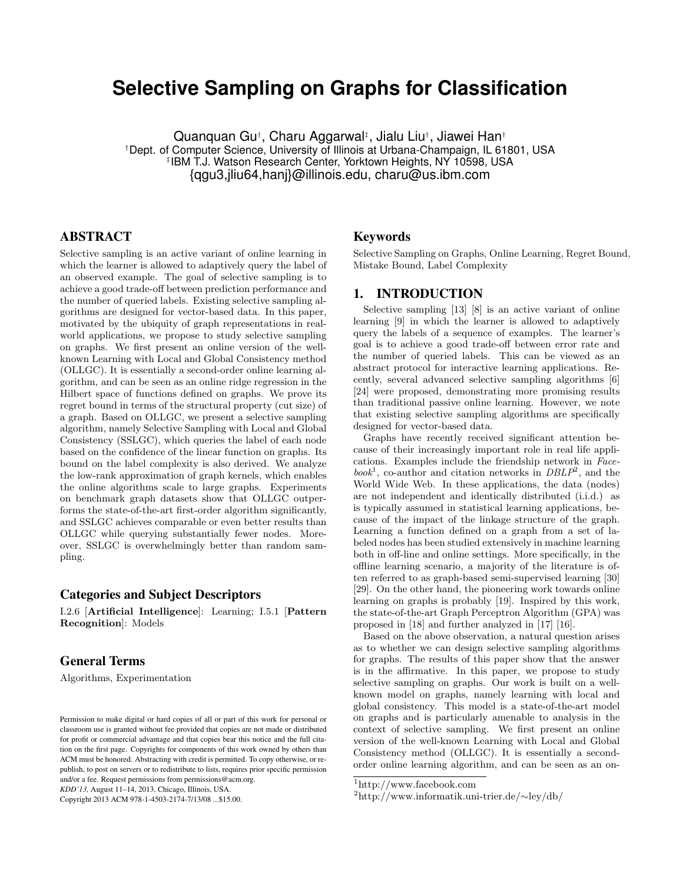# **Selective Sampling on Graphs for Classification**

Quanquan Gu*†* , Charu Aggarwal*‡* , Jialu Liu*†* , Jiawei Han*† †*Dept. of Computer Science, University of Illinois at Urbana-Champaign, IL 61801, USA *‡* IBM T.J. Watson Research Center, Yorktown Heights, NY 10598, USA {qgu3,jliu64,hanj}@illinois.edu, charu@us.ibm.com

# ABSTRACT

Selective sampling is an active variant of online learning in which the learner is allowed to adaptively query the label of an observed example. The goal of selective sampling is to achieve a good trade-off between prediction performance and the number of queried labels. Existing selective sampling algorithms are designed for vector-based data. In this paper, motivated by the ubiquity of graph representations in realworld applications, we propose to study selective sampling on graphs. We first present an online version of the wellknown Learning with Local and Global Consistency method (OLLGC). It is essentially a second-order online learning algorithm, and can be seen as an online ridge regression in the Hilbert space of functions defined on graphs. We prove its regret bound in terms of the structural property (cut size) of a graph. Based on OLLGC, we present a selective sampling algorithm, namely Selective Sampling with Local and Global Consistency (SSLGC), which queries the label of each node based on the confidence of the linear function on graphs. Its bound on the label complexity is also derived. We analyze the low-rank approximation of graph kernels, which enables the online algorithms scale to large graphs. Experiments on benchmark graph datasets show that OLLGC outperforms the state-of-the-art first-order algorithm significantly, and SSLGC achieves comparable or even better results than OLLGC while querying substantially fewer nodes. Moreover, SSLGC is overwhelmingly better than random sampling.

# Categories and Subject Descriptors

I.2.6 [**Artificial Intelligence**]: Learning; I.5.1 [**Pattern Recognition**]: Models

# General Terms

Algorithms, Experimentation

Copyright 2013 ACM 978-1-4503-2174-7/13/08 ...\$15.00.

## Keywords

Selective Sampling on Graphs, Online Learning, Regret Bound, Mistake Bound, Label Complexity

#### 1. INTRODUCTION

Selective sampling [13] [8] is an active variant of online learning [9] in which the learner is allowed to adaptively query the labels of a sequence of examples. The learner's goal is to achieve a good trade-off between error rate and the number of queried labels. This can be viewed as an abstract protocol for interactive learning applications. Recently, several advanced selective sampling algorithms [6] [24] were proposed, demonstrating more promising results than traditional passive online learning. However, we note that existing selective sampling algorithms are specifically designed for vector-based data.

Graphs have recently received significant attention because of their increasingly important role in real life applications. Examples include the friendship network in *Face* $book<sup>1</sup>$ , co-author and citation networks in  $DBLP<sup>2</sup>$ , and the World Wide Web. In these applications, the data (nodes) are not independent and identically distributed (i.i.d.) as is typically assumed in statistical learning applications, because of the impact of the linkage structure of the graph. Learning a function defined on a graph from a set of labeled nodes has been studied extensively in machine learning both in off-line and online settings. More specifically, in the offline learning scenario, a majority of the literature is often referred to as graph-based semi-supervised learning [30] [29]. On the other hand, the pioneering work towards online learning on graphs is probably [19]. Inspired by this work, the state-of-the-art Graph Perceptron Algorithm (GPA) was proposed in [18] and further analyzed in [17] [16].

Based on the above observation, a natural question arises as to whether we can design selective sampling algorithms for graphs. The results of this paper show that the answer is in the affirmative. In this paper, we propose to study selective sampling on graphs. Our work is built on a wellknown model on graphs, namely learning with local and global consistency. This model is a state-of-the-art model on graphs and is particularly amenable to analysis in the context of selective sampling. We first present an online version of the well-known Learning with Local and Global Consistency method (OLLGC). It is essentially a secondorder online learning algorithm, and can be seen as an on-

Permission to make digital or hard copies of all or part of this work for personal or classroom use is granted without fee provided that copies are not made or distributed for profit or commercial advantage and that copies bear this notice and the full citation on the first page. Copyrights for components of this work owned by others than ACM must be honored. Abstracting with credit is permitted. To copy otherwise, or republish, to post on servers or to redistribute to lists, requires prior specific permission and/or a fee. Request permissions from permissions@acm.org.

*KDD'13,* August 11–14, 2013, Chicago, Illinois, USA.

<sup>1</sup>http://www.facebook.com

<sup>2</sup>http://www.informatik.uni-trier.de/*∼*ley/db/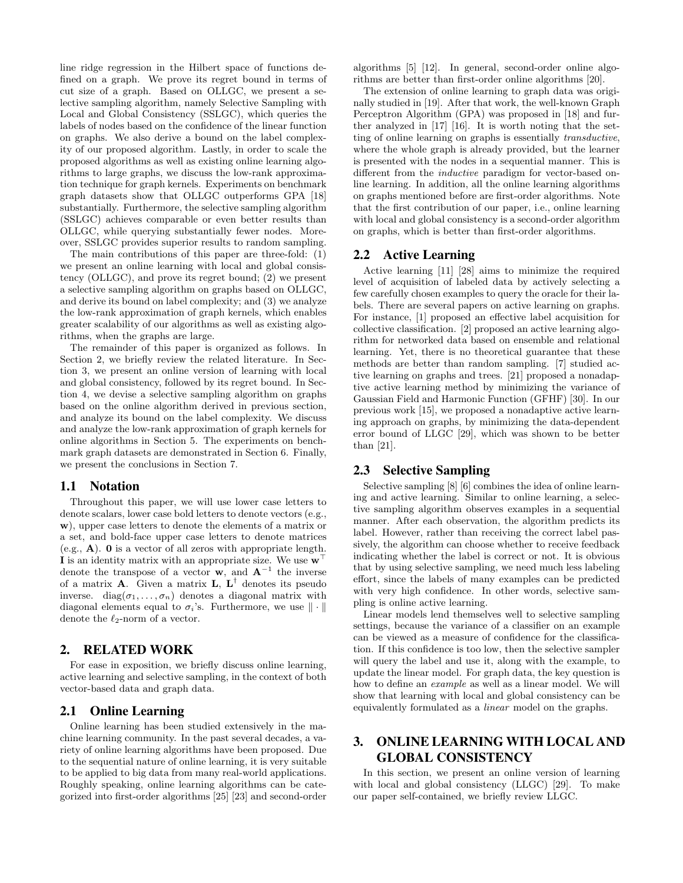line ridge regression in the Hilbert space of functions defined on a graph. We prove its regret bound in terms of cut size of a graph. Based on OLLGC, we present a selective sampling algorithm, namely Selective Sampling with Local and Global Consistency (SSLGC), which queries the labels of nodes based on the confidence of the linear function on graphs. We also derive a bound on the label complexity of our proposed algorithm. Lastly, in order to scale the proposed algorithms as well as existing online learning algorithms to large graphs, we discuss the low-rank approximation technique for graph kernels. Experiments on benchmark graph datasets show that OLLGC outperforms GPA [18] substantially. Furthermore, the selective sampling algorithm (SSLGC) achieves comparable or even better results than OLLGC, while querying substantially fewer nodes. Moreover, SSLGC provides superior results to random sampling.

The main contributions of this paper are three-fold: (1) we present an online learning with local and global consistency (OLLGC), and prove its regret bound; (2) we present a selective sampling algorithm on graphs based on OLLGC, and derive its bound on label complexity; and (3) we analyze the low-rank approximation of graph kernels, which enables greater scalability of our algorithms as well as existing algorithms, when the graphs are large.

The remainder of this paper is organized as follows. In Section 2, we briefly review the related literature. In Section 3, we present an online version of learning with local and global consistency, followed by its regret bound. In Section 4, we devise a selective sampling algorithm on graphs based on the online algorithm derived in previous section, and analyze its bound on the label complexity. We discuss and analyze the low-rank approximation of graph kernels for online algorithms in Section 5. The experiments on benchmark graph datasets are demonstrated in Section 6. Finally, we present the conclusions in Section 7.

#### 1.1 Notation

Throughout this paper, we will use lower case letters to denote scalars, lower case bold letters to denote vectors (e.g., **w**), upper case letters to denote the elements of a matrix or a set, and bold-face upper case letters to denote matrices (e.g., **A**). **0** is a vector of all zeros with appropriate length. **I** is an identity matrix with an appropriate size. We use **w***<sup>⊤</sup>* denote the transpose of a vector **w**, and **A***−*<sup>1</sup> the inverse of a matrix **A**. Given a matrix **L**, **L** *†* denotes its pseudo inverse. diag( $\sigma_1, \ldots, \sigma_n$ ) denotes a diagonal matrix with diagonal elements equal to  $\sigma_i$ 's. Furthermore, we use  $\|\cdot\|$ denote the *ℓ*2-norm of a vector.

#### 2. RELATED WORK

For ease in exposition, we briefly discuss online learning, active learning and selective sampling, in the context of both vector-based data and graph data.

# 2.1 Online Learning

Online learning has been studied extensively in the machine learning community. In the past several decades, a variety of online learning algorithms have been proposed. Due to the sequential nature of online learning, it is very suitable to be applied to big data from many real-world applications. Roughly speaking, online learning algorithms can be categorized into first-order algorithms [25] [23] and second-order algorithms [5] [12]. In general, second-order online algorithms are better than first-order online algorithms [20].

The extension of online learning to graph data was originally studied in [19]. After that work, the well-known Graph Perceptron Algorithm (GPA) was proposed in [18] and further analyzed in [17] [16]. It is worth noting that the setting of online learning on graphs is essentially *transductive*, where the whole graph is already provided, but the learner is presented with the nodes in a sequential manner. This is different from the *inductive* paradigm for vector-based online learning. In addition, all the online learning algorithms on graphs mentioned before are first-order algorithms. Note that the first contribution of our paper, i.e., online learning with local and global consistency is a second-order algorithm on graphs, which is better than first-order algorithms.

#### 2.2 Active Learning

Active learning [11] [28] aims to minimize the required level of acquisition of labeled data by actively selecting a few carefully chosen examples to query the oracle for their labels. There are several papers on active learning on graphs. For instance, [1] proposed an effective label acquisition for collective classification. [2] proposed an active learning algorithm for networked data based on ensemble and relational learning. Yet, there is no theoretical guarantee that these methods are better than random sampling. [7] studied active learning on graphs and trees. [21] proposed a nonadaptive active learning method by minimizing the variance of Gaussian Field and Harmonic Function (GFHF) [30]. In our previous work [15], we proposed a nonadaptive active learning approach on graphs, by minimizing the data-dependent error bound of LLGC [29], which was shown to be better than [21].

#### 2.3 Selective Sampling

Selective sampling [8] [6] combines the idea of online learning and active learning. Similar to online learning, a selective sampling algorithm observes examples in a sequential manner. After each observation, the algorithm predicts its label. However, rather than receiving the correct label passively, the algorithm can choose whether to receive feedback indicating whether the label is correct or not. It is obvious that by using selective sampling, we need much less labeling effort, since the labels of many examples can be predicted with very high confidence. In other words, selective sampling is online active learning.

Linear models lend themselves well to selective sampling settings, because the variance of a classifier on an example can be viewed as a measure of confidence for the classification. If this confidence is too low, then the selective sampler will query the label and use it, along with the example, to update the linear model. For graph data, the key question is how to define an *example* as well as a linear model. We will show that learning with local and global consistency can be equivalently formulated as a *linear* model on the graphs.

# 3. ONLINE LEARNING WITH LOCAL AND GLOBAL CONSISTENCY

In this section, we present an online version of learning with local and global consistency (LLGC) [29]. To make our paper self-contained, we briefly review LLGC.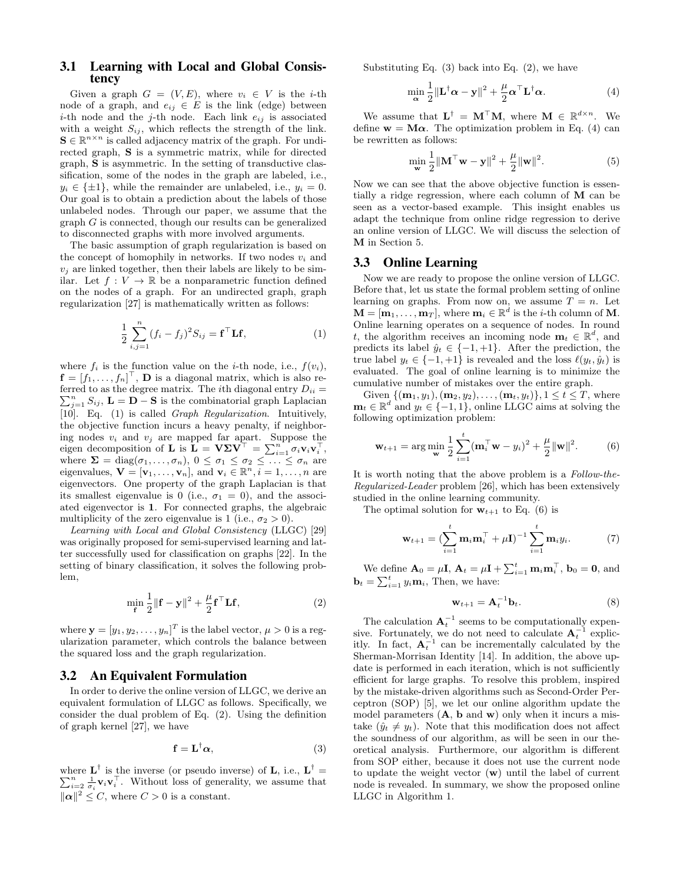#### 3.1 Learning with Local and Global Consistency

Given a graph  $G = (V, E)$ , where  $v_i \in V$  is the *i*-th node of a graph, and  $e_{ij} \in E$  is the link (edge) between *i*-th node and the *j*-th node. Each link  $e_{ij}$  is associated with a weight  $S_{ij}$ , which reflects the strength of the link.  $\mathbf{S} \in \mathbb{R}^{n \times n}$  is called adjacency matrix of the graph. For undirected graph, **S** is a symmetric matrix, while for directed graph, **S** is asymmetric. In the setting of transductive classification, some of the nodes in the graph are labeled, i.e.,  $y_i \in {\pm 1}$ , while the remainder are unlabeled, i.e.,  $y_i = 0$ . Our goal is to obtain a prediction about the labels of those unlabeled nodes. Through our paper, we assume that the graph *G* is connected, though our results can be generalized to disconnected graphs with more involved arguments.

The basic assumption of graph regularization is based on the concept of homophily in networks. If two nodes  $v_i$  and  $v_i$  are linked together, then their labels are likely to be similar. Let  $f: V \to \mathbb{R}$  be a nonparametric function defined on the nodes of a graph. For an undirected graph, graph regularization [27] is mathematically written as follows:

$$
\frac{1}{2} \sum_{i,j=1}^{n} (f_i - f_j)^2 S_{ij} = \mathbf{f}^\top \mathbf{L} \mathbf{f},
$$
 (1)

where  $f_i$  is the function value on the *i*-th node, i.e.,  $f(v_i)$ ,  $\mathbf{f} = [f_1, \ldots, f_n]^\top$ , **D** is a diagonal matrix, which is also referred to as the degree matrix. The *i*<sup>th</sup> diagonal entry  $D_{ii} =$  $\sum_{j=1}^{n} S_{ij}$ ,  $\mathbf{L} = \mathbf{D} - \mathbf{S}$  is the combinatorial graph Laplacian [10]. Eq. (1) is called *Graph Regularization*. Intuitively, the objective function incurs a heavy penalty, if neighboring nodes  $v_i$  and  $v_j$  are mapped far apart. Suppose the eigen decomposition of **L** is  $\mathbf{L} = \mathbf{V} \mathbf{\Sigma} \mathbf{V}^\top = \sum_{i=1}^n \sigma_i \mathbf{v}_i \mathbf{v}_i^\top$ , where  $\Sigma = \text{diag}(\sigma_1, \ldots, \sigma_n), 0 \leq \sigma_1 \leq \sigma_2 \leq \ldots \leq \sigma_n$  are eigenvalues,  $\mathbf{V} = [\mathbf{v}_1, \dots, \mathbf{v}_n]$ , and  $\mathbf{v}_i \in \mathbb{R}^n, i = 1, \dots, n$  are eigenvectors. One property of the graph Laplacian is that its smallest eigenvalue is 0 (i.e.,  $\sigma_1 = 0$ ), and the associated eigenvector is **1**. For connected graphs, the algebraic multiplicity of the zero eigenvalue is 1 (i.e.,  $\sigma_2 > 0$ ).

*Learning with Local and Global Consistency* (LLGC) [29] was originally proposed for semi-supervised learning and latter successfully used for classification on graphs [22]. In the setting of binary classification, it solves the following problem,

$$
\min_{\mathbf{f}} \frac{1}{2} \|\mathbf{f} - \mathbf{y}\|^2 + \frac{\mu}{2} \mathbf{f}^\top \mathbf{L} \mathbf{f},\tag{2}
$$

where  $\mathbf{y} = [y_1, y_2, \dots, y_n]^T$  is the label vector,  $\mu > 0$  is a regularization parameter, which controls the balance between the squared loss and the graph regularization.

#### 3.2 An Equivalent Formulation

In order to derive the online version of LLGC, we derive an equivalent formulation of LLGC as follows. Specifically, we consider the dual problem of Eq. (2). Using the definition of graph kernel [27], we have

$$
\mathbf{f} = \mathbf{L}^{\dagger} \boldsymbol{\alpha},\tag{3}
$$

where **L** *†* is the inverse (or pseudo inverse) of **L**, i.e., **L** *†* where  $\mathbf{L}^{\dagger}$  is the inverse (or pseudo inverse) of  $\mathbf{L}$ , i.e.,  $\mathbf{L}^{\dagger} = \sum_{i=2}^{n} \frac{1}{\sigma_i} \mathbf{v}_i \mathbf{v}_i^{\top}$ . Without loss of generality, we assume that  $\|\boldsymbol{\alpha}\|^2$  ≤ *C*, where *C* > 0 is a constant.

Substituting Eq.  $(3)$  back into Eq.  $(2)$ , we have

$$
\min_{\mathbf{\alpha}} \frac{1}{2} \|\mathbf{L}^{\dagger} \mathbf{\alpha} - \mathbf{y}\|^2 + \frac{\mu}{2} \mathbf{\alpha}^{\top} \mathbf{L}^{\dagger} \mathbf{\alpha}.
$$
 (4)

We assume that  $\mathbf{L}^{\dagger} = \mathbf{M}^{\top} \mathbf{M}$ , where  $\mathbf{M} \in \mathbb{R}^{d \times n}$ . We define  $\mathbf{w} = \mathbf{M}\boldsymbol{\alpha}$ . The optimization problem in Eq. (4) can be rewritten as follows:

$$
\min_{\mathbf{w}} \frac{1}{2} ||\mathbf{M}^{\top} \mathbf{w} - \mathbf{y}||^{2} + \frac{\mu}{2} ||\mathbf{w}||^{2}.
$$
 (5)

Now we can see that the above objective function is essentially a ridge regression, where each column of **M** can be seen as a vector-based example. This insight enables us adapt the technique from online ridge regression to derive an online version of LLGC. We will discuss the selection of **M** in Section 5.

## 3.3 Online Learning

Now we are ready to propose the online version of LLGC. Before that, let us state the formal problem setting of online learning on graphs. From now on, we assume  $T = n$ . Let  $\mathbf{M} = [\mathbf{m}_1, \dots, \mathbf{m}_T]$ , where  $\mathbf{m}_i \in \mathbb{R}^d$  is the *i*-th column of **M**. Online learning operates on a sequence of nodes. In round *t*, the algorithm receives an incoming node  $\mathbf{m}_t \in \mathbb{R}^d$ , and predicts its label  $\hat{y}_t \in \{-1, +1\}$ . After the prediction, the true label  $y_t \in \{-1, +1\}$  is revealed and the loss  $\ell(y_t, \hat{y}_t)$  is evaluated. The goal of online learning is to minimize the cumulative number of mistakes over the entire graph.

Given  $\{(\mathbf{m}_1, y_1), (\mathbf{m}_2, y_2), \ldots, (\mathbf{m}_t, y_t)\}, 1 \le t \le T$ , where  $\mathbf{m}_t \in \mathbb{R}^d$  and  $y_t \in \{-1, 1\}$ , online LLGC aims at solving the following optimization problem:

$$
\mathbf{w}_{t+1} = \arg\min_{\mathbf{w}} \frac{1}{2} \sum_{i=1}^{t} (\mathbf{m}_i^{\top} \mathbf{w} - y_i)^2 + \frac{\mu}{2} ||\mathbf{w}||^2.
$$
 (6)

It is worth noting that the above problem is a *Follow-the-Regularized-Leader* problem [26], which has been extensively studied in the online learning community.

The optimal solution for  $w_{t+1}$  to Eq. (6) is

$$
\mathbf{w}_{t+1} = \left(\sum_{i=1}^{t} \mathbf{m}_i \mathbf{m}_i^{\top} + \mu \mathbf{I}\right)^{-1} \sum_{i=1}^{t} \mathbf{m}_i y_i.
$$
 (7)

We define  $A_0 = \mu I$ ,  $A_t = \mu I + \sum_{i=1}^t \mathbf{m}_i \mathbf{m}_i^\top$ ,  $b_0 = 0$ , and  $\mathbf{b}_t = \sum_{i=1}^t y_i \mathbf{m}_i$ , Then, we have:

$$
\mathbf{w}_{t+1} = \mathbf{A}_t^{-1} \mathbf{b}_t. \tag{8}
$$

The calculation  $A_t^{-1}$  seems to be computationally expensive. Fortunately, we do not need to calculate  $A_t^{-1}$  explicitly. In fact,  $A_t^{-1}$  can be incrementally calculated by the Sherman-Morrisan Identity [14]. In addition, the above update is performed in each iteration, which is not sufficiently efficient for large graphs. To resolve this problem, inspired by the mistake-driven algorithms such as Second-Order Perceptron (SOP) [5], we let our online algorithm update the model parameters (**A**, **b** and **w**) only when it incurs a mistake  $(\hat{y}_t \neq y_t)$ . Note that this modification does not affect the soundness of our algorithm, as will be seen in our theoretical analysis. Furthermore, our algorithm is different from SOP either, because it does not use the current node to update the weight vector (**w**) until the label of current node is revealed. In summary, we show the proposed online LLGC in Algorithm 1.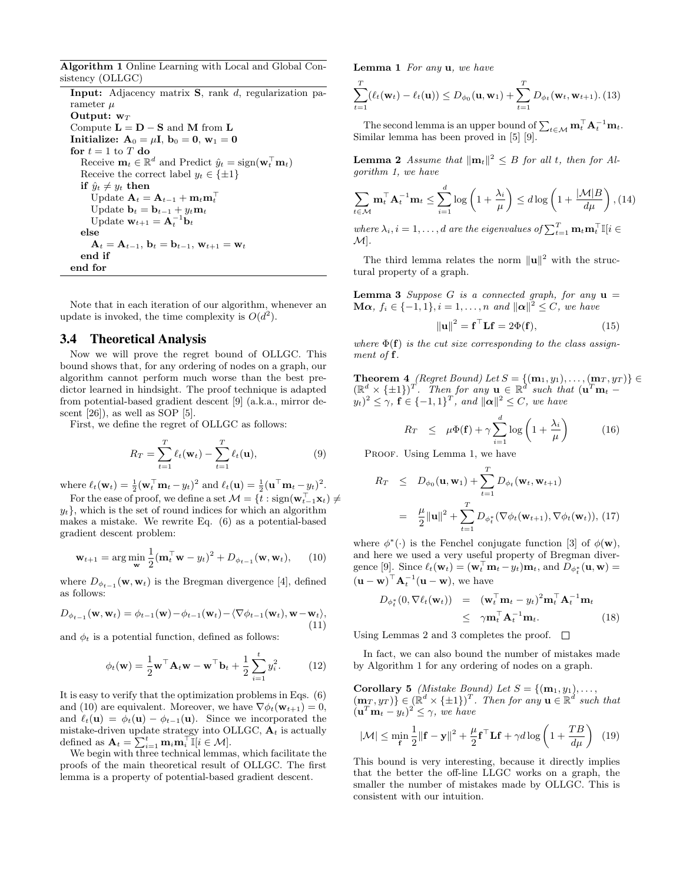**Algorithm 1** Online Learning with Local and Global Consistency (OLLGC) **Input:** Adjacency matrix **S**, rank *d*, regularization parameter *µ* **Output: w***<sup>T</sup>* Compute  $\mathbf{L} = \mathbf{D} - \mathbf{S}$  and  $\mathbf{M}$  from  $\mathbf{L}$ **Initialize:**  $A_0 = \mu I$ ,  $b_0 = 0$ ,  $w_1 = 0$ **for**  $t = 1$  to  $T$  **do** Receive  $\mathbf{m}_t \in \mathbb{R}^d$  and Predict  $\hat{y}_t = \text{sign}(\mathbf{w}_t^\top \mathbf{m}_t)$ Receive the correct label  $y_t \in \{\pm 1\}$ **if**  $\hat{y}_t \neq y_t$  **then** Update  $\mathbf{A}_t = \mathbf{A}_{t-1} + \mathbf{m}_t \mathbf{m}_t^\top$ Update  $\mathbf{b}_t = \mathbf{b}_{t-1} + y_t \mathbf{m}_t$ Update  $\mathbf{w}_{t+1} = \mathbf{A}_t^{-1} \mathbf{b}_t$ **else**  $A_t = A_{t-1}, b_t = b_{t-1}, w_{t+1} = w_t$ **end if end for**

Note that in each iteration of our algorithm, whenever an update is invoked, the time complexity is  $O(d^2)$ .

## 3.4 Theoretical Analysis

Now we will prove the regret bound of OLLGC. This bound shows that, for any ordering of nodes on a graph, our algorithm cannot perform much worse than the best predictor learned in hindsight. The proof technique is adapted from potential-based gradient descent [9] (a.k.a., mirror descent  $[26]$ , as well as SOP  $[5]$ .

First, we define the regret of OLLGC as follows:

$$
R_T = \sum_{t=1}^T \ell_t(\mathbf{w}_t) - \sum_{t=1}^T \ell_t(\mathbf{u}),
$$
\n(9)

where  $\ell_t(\mathbf{w}_t) = \frac{1}{2}(\mathbf{w}_t^\top \mathbf{m}_t - y_t)^2$  and  $\ell_t(\mathbf{u}) = \frac{1}{2}(\mathbf{u}^\top \mathbf{m}_t - y_t)^2$ .

For the ease of proof, we define a set  $\mathcal{M} = \{t : \text{sign}(\mathbf{w}_{t-1}^{\perp} \mathbf{x}_t) \neq 0\}$  $y_t$ , which is the set of round indices for which an algorithm makes a mistake. We rewrite Eq. (6) as a potential-based gradient descent problem:

$$
\mathbf{w}_{t+1} = \arg\min_{\mathbf{w}} \frac{1}{2} (\mathbf{m}_t^\top \mathbf{w} - y_t)^2 + D_{\phi_{t-1}}(\mathbf{w}, \mathbf{w}_t), \qquad (10)
$$

where  $D_{\phi_{t-1}}(\mathbf{w}, \mathbf{w}_t)$  is the Bregman divergence [4], defined as follows:

$$
D_{\phi_{t-1}}(\mathbf{w}, \mathbf{w}_t) = \phi_{t-1}(\mathbf{w}) - \phi_{t-1}(\mathbf{w}_t) - \langle \nabla \phi_{t-1}(\mathbf{w}_t), \mathbf{w} - \mathbf{w}_t \rangle, \tag{11}
$$

and  $\phi_t$  is a potential function, defined as follows:

$$
\phi_t(\mathbf{w}) = \frac{1}{2}\mathbf{w}^\top \mathbf{A}_t \mathbf{w} - \mathbf{w}^\top \mathbf{b}_t + \frac{1}{2} \sum_{i=1}^t y_i^2.
$$
 (12)

It is easy to verify that the optimization problems in Eqs. (6) and (10) are equivalent. Moreover, we have  $\nabla \phi_t(\mathbf{w}_{t+1}) = 0$ , and  $\ell_t(\mathbf{u}) = \phi_t(\mathbf{u}) - \phi_{t-1}(\mathbf{u})$ . Since we incorporated the mistake-driven update strategy into OLLGC, **A***<sup>t</sup>* is actually defined as  $\mathbf{A}_t = \sum_{i=1}^t \mathbf{m}_i \mathbf{m}_i^\top \mathbf{I} [i \in \mathcal{M}].$ 

We begin with three technical lemmas, which facilitate the proofs of the main theoretical result of OLLGC. The first lemma is a property of potential-based gradient descent.

**Lemma 1** *For any* **u***, we have*

$$
\sum_{t=1}^{T} (\ell_t(\mathbf{w}_t) - \ell_t(\mathbf{u})) \le D_{\phi_0}(\mathbf{u}, \mathbf{w}_1) + \sum_{t=1}^{T} D_{\phi_t}(\mathbf{w}_t, \mathbf{w}_{t+1}).
$$
 (13)

The second lemma is an upper bound of  $\sum_{t \in \mathcal{M}} \mathbf{m}_t^\top \mathbf{A}_t^{-1} \mathbf{m}_t$ . Similar lemma has been proved in [5] [9].

**Lemma 2** *Assume that*  $||\mathbf{m}_t||^2 \leq B$  *for all t, then for Algorithm 1, we have*

$$
\sum_{t \in \mathcal{M}} \mathbf{m}_t^{\top} \mathbf{A}_t^{-1} \mathbf{m}_t \le \sum_{i=1}^d \log \left( 1 + \frac{\lambda_i}{\mu} \right) \le d \log \left( 1 + \frac{|\mathcal{M}|B}{d\mu} \right), (14)
$$
  
where  $\lambda_i, i = 1, ..., d$  are the eigenvalues of  $\sum_{t=1}^T \mathbf{m}_t \mathbf{m}_t^{\top} \mathbb{I}[i \in \mathcal{M}].$ 

The third lemma relates the norm *∥***u***∥* <sup>2</sup> with the structural property of a graph.

**Lemma 3** *Suppose G is a connected graph, for any*  $\mathbf{u} =$ **M***α,*  $f_i \in \{-1, 1\}$ ,  $i = 1, \ldots, n$  *and*  $||\alpha||^2 \leq C$ *, we have* 

$$
\|\mathbf{u}\|^2 = \mathbf{f}^\top \mathbf{L} \mathbf{f} = 2\Phi(\mathbf{f}),\tag{15}
$$

where  $\Phi(\mathbf{f})$  *is the cut size corresponding to the class assignment of* **f***.*

**Theorem 4** *(Regret Bound) Let*  $S = \{(\mathbf{m}_1, y_1), \dots, (\mathbf{m}_T, y_T)\}$  ∈  $(\mathbb{R}^d \times {\{\pm 1\}})^T$ . Then for any  $\mathbf{u} \in \mathbb{R}^d$  such that  $(\mathbf{u}^T \mathbf{m}_t - \mathbf{u}^T \mathbf{m}_t)$  $(y_t)^2 \leq \gamma$ ,  $f \in \{-1, 1\}^T$ , and  $\|\alpha\|^2 \leq C$ , we have

$$
R_T \leq \mu \Phi(\mathbf{f}) + \gamma \sum_{i=1}^d \log \left( 1 + \frac{\lambda_i}{\mu} \right) \tag{16}
$$

PROOF. Using Lemma 1, we have

$$
R_T \leq D_{\phi_0}(\mathbf{u}, \mathbf{w}_1) + \sum_{t=1}^T D_{\phi_t}(\mathbf{w}_t, \mathbf{w}_{t+1})
$$
  
= 
$$
\frac{\mu}{2} ||\mathbf{u}||^2 + \sum_{t=1}^T D_{\phi_t^*} (\nabla \phi_t(\mathbf{w}_{t+1}), \nabla \phi_t(\mathbf{w}_t)), (17)
$$

where  $\phi^*(\cdot)$  is the Fenchel conjugate function [3] of  $\phi(\mathbf{w})$ , and here we used a very useful property of Bregman divergence [9]. Since  $\ell_t(\mathbf{w}_t) = (\mathbf{w}_t^{\top} \mathbf{m}_t - y_t) \mathbf{m}_t$ , and  $D_{\phi_t^*}(\mathbf{u}, \mathbf{w}) =$  $(\mathbf{u} - \mathbf{w})^{\top} \mathbf{A}_t^{-1} (\mathbf{u} - \mathbf{w}),$  we have

$$
D_{\phi_t^*}(0, \nabla \ell_t(\mathbf{w}_t)) = (\mathbf{w}_t^{\top} \mathbf{m}_t - y_t)^2 \mathbf{m}_t^{\top} \mathbf{A}_t^{-1} \mathbf{m}_t
$$
  
 
$$
\leq \gamma \mathbf{m}_t^{\top} \mathbf{A}_t^{-1} \mathbf{m}_t.
$$
 (18)

Using Lemmas 2 and 3 completes the proof.  $\Box$ 

In fact, we can also bound the number of mistakes made by Algorithm 1 for any ordering of nodes on a graph.

**Corollary 5** *(Mistake Bound) Let*  $S = \{(\mathbf{m}_1, y_1), \ldots,$  $(\mathbf{m}_T, y_T)$   $\in (\mathbb{R}^d \times {\{\pm 1\}})^T$ . Then for any  $\mathbf{u} \in \mathbb{R}^d$  such that  $(\mathbf{u}^T \mathbf{m}_t - y_t)^2 \leq \gamma$ , we have

$$
|\mathcal{M}| \le \min_{\mathbf{f}} \frac{1}{2} \|\mathbf{f} - \mathbf{y}\|^2 + \frac{\mu}{2} \mathbf{f}^\top \mathbf{L} \mathbf{f} + \gamma d \log \left( 1 + \frac{T B}{d \mu} \right) \tag{19}
$$

This bound is very interesting, because it directly implies that the better the off-line LLGC works on a graph, the smaller the number of mistakes made by OLLGC. This is consistent with our intuition.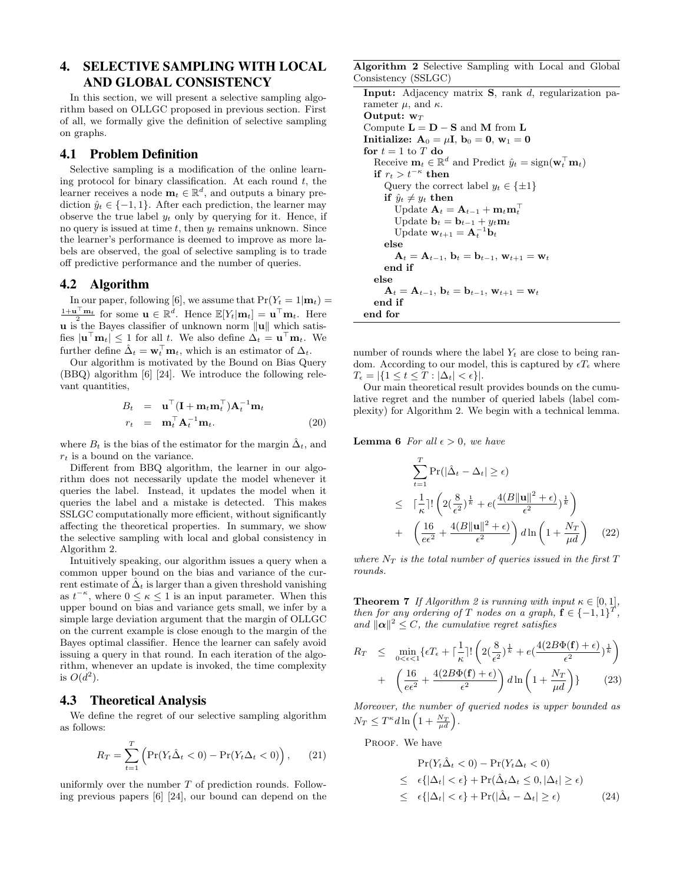# 4. SELECTIVE SAMPLING WITH LOCAL AND GLOBAL CONSISTENCY

In this section, we will present a selective sampling algorithm based on OLLGC proposed in previous section. First of all, we formally give the definition of selective sampling on graphs.

#### 4.1 Problem Definition

Selective sampling is a modification of the online learning protocol for binary classification. At each round *t*, the learner receives a node  $\mathbf{m}_t \in \mathbb{R}^d$ , and outputs a binary prediction  $\hat{y}_t \in \{-1, 1\}$ . After each prediction, the learner may observe the true label  $y_t$  only by querying for it. Hence, if no query is issued at time *t*, then *y<sup>t</sup>* remains unknown. Since the learner's performance is deemed to improve as more labels are observed, the goal of selective sampling is to trade off predictive performance and the number of queries.

#### 4.2 Algorithm

In our paper, following [6], we assume that  $Pr(Y_t = 1 | \mathbf{m}_t)$  =  $\frac{1+\mathbf{u}^{\top}\mathbf{m}_t}{2}$  for some  $\mathbf{u} \in \mathbb{R}^d$ . Hence  $\mathbb{E}[Y_t|\mathbf{m}_t] = \mathbf{u}^\top \mathbf{m}_t$ . Here **u** is the Bayes classifier of unknown norm  $||u||$  which satisfies  $|\mathbf{u} \cdot \mathbf{m}_t| \leq 1$  for all *t*. We also define  $\Delta_t = \mathbf{u} \cdot \mathbf{m}_t$ . We further define  $\hat{\Delta}_t = \mathbf{w}_t^\top \mathbf{m}_t$ , which is an estimator of  $\Delta_t$ .

Our algorithm is motivated by the Bound on Bias Query (BBQ) algorithm [6] [24]. We introduce the following relevant quantities,

$$
B_t = \mathbf{u}^\top (\mathbf{I} + \mathbf{m}_t \mathbf{m}_t^\top) \mathbf{A}_t^{-1} \mathbf{m}_t
$$
  

$$
r_t = \mathbf{m}_t^\top \mathbf{A}_t^{-1} \mathbf{m}_t.
$$
 (20)

where  $B_t$  is the bias of the estimator for the margin  $\hat{\Delta}_t$ , and *r<sup>t</sup>* is a bound on the variance.

Different from BBQ algorithm, the learner in our algorithm does not necessarily update the model whenever it queries the label. Instead, it updates the model when it queries the label and a mistake is detected. This makes SSLGC computationally more efficient, without significantly affecting the theoretical properties. In summary, we show the selective sampling with local and global consistency in Algorithm 2.

Intuitively speaking, our algorithm issues a query when a common upper bound on the bias and variance of the current estimate of  $\Delta_t$  is larger than a given threshold vanishing as  $t^{-\kappa}$ , where  $0 \leq \kappa \leq 1$  is an input parameter. When this upper bound on bias and variance gets small, we infer by a simple large deviation argument that the margin of OLLGC on the current example is close enough to the margin of the Bayes optimal classifier. Hence the learner can safely avoid issuing a query in that round. In each iteration of the algorithm, whenever an update is invoked, the time complexity is  $O(d^2)$ .

#### 4.3 Theoretical Analysis

We define the regret of our selective sampling algorithm as follows:

$$
R_T = \sum_{t=1}^T \left( \Pr(Y_t \hat{\Delta}_t < 0) - \Pr(Y_t \Delta_t < 0) \right), \tag{21}
$$

uniformly over the number *T* of prediction rounds. Following previous papers [6] [24], our bound can depend on the

**Algorithm 2** Selective Sampling with Local and Global Consistency (SSLGC)

**Input:** Adjacency matrix **S**, rank *d*, regularization parameter  $\mu$ , and  $\kappa$ . **Output: w***<sup>T</sup>* Compute  $\mathbf{L} = \mathbf{D} - \mathbf{S}$  and  $\mathbf{M}$  from  $\mathbf{L}$ **Initialize:**  $A_0 = \mu I$ ,  $b_0 = 0$ ,  $w_1 = 0$ **for**  $t = 1$  to  $T$  **do** Receive  $\mathbf{m}_t \in \mathbb{R}^d$  and Predict  $\hat{y}_t = \text{sign}(\mathbf{w}_t^\top \mathbf{m}_t)$ **if**  $r_t > t^{-\kappa}$  **then** Query the correct label  $y_t \in \{\pm 1\}$ **if**  $\hat{y}_t \neq y_t$  **then** Update  $\mathbf{A}_t = \mathbf{A}_{t-1} + \mathbf{m}_t \mathbf{m}_t^{\top}$ Update  $\mathbf{b}_t = \mathbf{b}_{t-1} + y_t \mathbf{m}_t$ Update  $\mathbf{w}_{t+1} = \mathbf{A}_t^{-1} \mathbf{b}_t$ **else**  $A_t = A_{t-1}, b_t = b_{t-1}, w_{t+1} = w_t$ **end if else**  $A_t = A_{t-1}, b_t = b_{t-1}, w_{t+1} = w_t$ **end if end for**

number of rounds where the label  $Y_t$  are close to being random. According to our model, this is captured by  $\epsilon T_{\epsilon}$  where  $T_{\epsilon} = |\{1 \leq t \leq T : |\Delta_t| < \epsilon\}|.$ 

Our main theoretical result provides bounds on the cumulative regret and the number of queried labels (label complexity) for Algorithm 2. We begin with a technical lemma.

**Lemma 6** *For all*  $\epsilon > 0$ *, we have* 

$$
\sum_{t=1}^{T} \Pr(|\hat{\Delta}_t - \Delta_t| \ge \epsilon)
$$
\n
$$
\leq \left[ \frac{1}{\kappa} \right] \left( 2 \left( \frac{8}{\epsilon^2} \right)^{\frac{1}{k}} + e \left( \frac{4(B \|\mathbf{u}\|^2 + \epsilon)}{\epsilon^2} \right)^{\frac{1}{k}} \right)
$$
\n
$$
+ \left( \frac{16}{e\epsilon^2} + \frac{4(B \|\mathbf{u}\|^2 + \epsilon)}{\epsilon^2} \right) d \ln \left( 1 + \frac{N_T}{\mu d} \right) \quad (22)
$$

where  $N_T$  *is the total number of queries issued in the first*  $T$ *rounds.*

**Theorem 7** *If Algorithm 2 is running with input*  $\kappa \in [0, 1]$ *, then for any ordering of T nodes on a graph*,  $f \in \{-1, 1\}^T$ , *and*  $||\boldsymbol{\alpha}||^2 \leq C$ , the cumulative regret satisfies

$$
R_T \leq \min_{0 \leq \epsilon \leq 1} \{ \epsilon T_{\epsilon} + \lceil \frac{1}{\kappa} \rceil! \left( 2(\frac{8}{\epsilon^2})^{\frac{1}{k}} + e\left(\frac{4(2B\Phi(\mathbf{f}) + \epsilon)}{\epsilon^2}\right)^{\frac{1}{k}} \right) + \left( \frac{16}{e\epsilon^2} + \frac{4(2B\Phi(\mathbf{f}) + \epsilon)}{\epsilon^2} \right) d\ln\left(1 + \frac{N_T}{\mu d}\right) \} \tag{23}
$$

*Moreover, the number of queried nodes is upper bounded as*  $N_T \leq T^{\kappa} d \ln \left( 1 + \frac{N_T}{\mu d} \right)$ .

PROOF. We have

$$
\Pr(Y_t \hat{\Delta}_t < 0) - \Pr(Y_t \Delta_t < 0) \\
\leq \epsilon \{ |\Delta_t| < \epsilon \} + \Pr(\hat{\Delta}_t \Delta_t \leq 0, |\Delta_t| \geq \epsilon) \\
\leq \epsilon \{ |\Delta_t| < \epsilon \} + \Pr(|\hat{\Delta}_t - \Delta_t| \geq \epsilon) \tag{24}
$$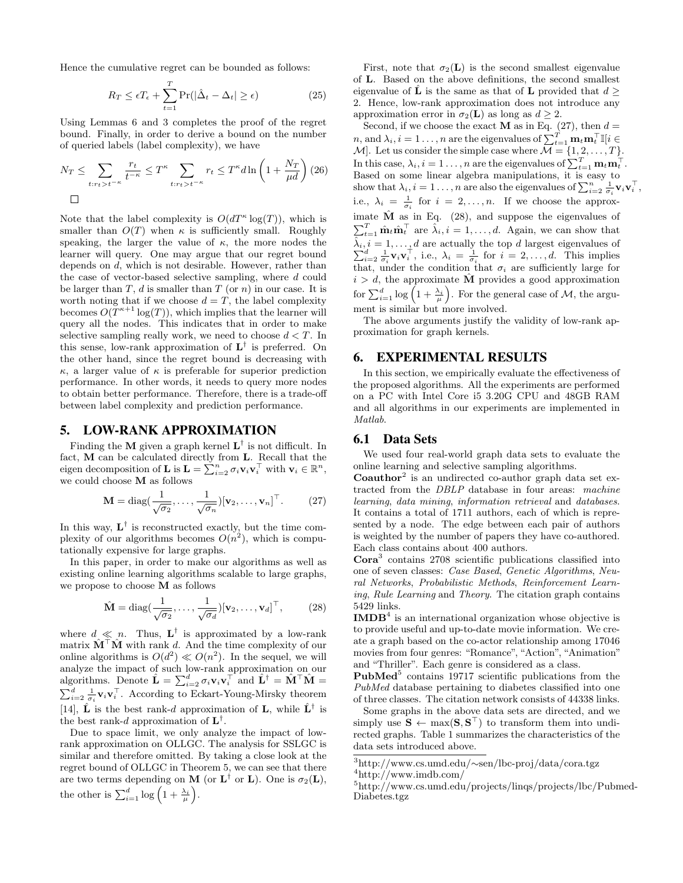Hence the cumulative regret can be bounded as follows:

$$
R_T \le \epsilon T_{\epsilon} + \sum_{t=1}^{T} \Pr(|\hat{\Delta}_t - \Delta_t| \ge \epsilon)
$$
 (25)

Using Lemmas 6 and 3 completes the proof of the regret bound. Finally, in order to derive a bound on the number of queried labels (label complexity), we have

$$
N_T \le \sum_{t:r_t>t^{-\kappa}} \frac{r_t}{t^{-\kappa}} \le T^{\kappa} \sum_{t:r_t>t^{-\kappa}} r_t \le T^{\kappa} d\ln\left(1 + \frac{N_T}{\mu d}\right) (26)
$$

Note that the label complexity is  $O(dT^{\kappa} \log(T))$ , which is smaller than  $O(T)$  when  $\kappa$  is sufficiently small. Roughly speaking, the larger the value of  $\kappa$ , the more nodes the learner will query. One may argue that our regret bound depends on *d*, which is not desirable. However, rather than the case of vector-based selective sampling, where *d* could be larger than  $T$ ,  $d$  is smaller than  $T$  (or  $n$ ) in our case. It is worth noting that if we choose  $d = T$ , the label complexity becomes  $O(T^{\kappa+1}\log(T))$ , which implies that the learner will query all the nodes. This indicates that in order to make selective sampling really work, we need to choose  $d < T$ . In this sense, low-rank approximation of **L** *†* is preferred. On the other hand, since the regret bound is decreasing with *κ*, a larger value of *κ* is preferable for superior prediction performance. In other words, it needs to query more nodes to obtain better performance. Therefore, there is a trade-off between label complexity and prediction performance.

#### 5. LOW-RANK APPROXIMATION

Finding the **M** given a graph kernel **L** *†* is not difficult. In fact, **M** can be calculated directly from **L**. Recall that the eigen decomposition of **L** is  $\mathbf{L} = \sum_{i=2}^{n} \sigma_i \mathbf{v}_i \mathbf{v}_i^\top$  with  $\mathbf{v}_i \in \mathbb{R}^n$ , we could choose **M** as follows

$$
\mathbf{M} = \text{diag}\left(\frac{1}{\sqrt{\sigma_2}}, \dots, \frac{1}{\sqrt{\sigma_n}}\right) [\mathbf{v}_2, \dots, \mathbf{v}_n]^\top. \tag{27}
$$

In this way,  $\mathbf{L}^{\dagger}$  is reconstructed exactly, but the time complexity of our algorithms becomes  $O(n^2)$ , which is computationally expensive for large graphs.

In this paper, in order to make our algorithms as well as existing online learning algorithms scalable to large graphs, we propose to choose **M** as follows

$$
\hat{\mathbf{M}} = \text{diag}\left(\frac{1}{\sqrt{\sigma_2}}, \dots, \frac{1}{\sqrt{\sigma_d}}\right) [\mathbf{v}_2, \dots, \mathbf{v}_d]^{\top},\tag{28}
$$

where  $d \ll n$ . Thus,  $\mathbf{L}^{\dagger}$  is approximated by a low-rank matrix  $\hat{\mathbf{M}}^{\top} \hat{\mathbf{M}}$  with rank *d*. And the time complexity of our online algorithms is  $O(d^2) \ll O(n^2)$ . In the sequel, we will analyze the impact of such low-rank approximation on our algorithms. Denote  $\hat{\mathbf{L}} = \sum_{i=2}^{d} \sigma_i \mathbf{v}_i \mathbf{v}_i^{\top}$  and  $\hat{\mathbf{L}}^{\dagger} = \hat{\mathbf{M}}^{\top} \hat{\mathbf{M}} =$  $\sum_{i=2}^{d} \frac{1}{\sigma_i} \mathbf{v}_i \mathbf{v}_i^{\top}$ . According to Eckart-Young-Mirsky theorem [14],  $\hat{\mathbf{L}}$  is the best rank-*d* approximation of **L**, while  $\hat{\mathbf{L}}^{\dagger}$  is the best rank-*d* approximation of **L** *†* .

Due to space limit, we only analyze the impact of lowrank approximation on OLLGC. The analysis for SSLGC is similar and therefore omitted. By taking a close look at the regret bound of OLLGC in Theorem 5, we can see that there are two terms depending on **M** (or  $\mathbf{L}^{\dagger}$  or **L**). One is  $\sigma_2(\mathbf{L}),$ the other is  $\sum_{i=1}^{d} \log \left(1 + \frac{\lambda_i}{\mu}\right)$ .

First, note that  $\sigma_2(L)$  is the second smallest eigenvalue of **L**. Based on the above definitions, the second smallest eigenvalue of  $\hat{\mathbf{L}}$  is the same as that of **L** provided that  $d \geq$ 2. Hence, low-rank approximation does not introduce any approximation error in  $\sigma_2(L)$  as long as  $d \geq 2$ .

Second, if we choose the exact **M** as in Eq. (27), then  $d =$ *n*, and  $\lambda_i$ ,  $i = 1 \ldots n$  are the eigenvalues of  $\sum_{t=1}^{T} \mathbf{m}_t \mathbf{m}_t^\top \mathbb{I}[i \in$ *M*. Let us consider the simple case where  $M = \{1, 2, \ldots, T\}$ . In this case,  $\lambda_i$ ,  $i = 1 \ldots n$  are the eigenvalues of  $\sum_{t=1}^{T} \mathbf{m}_t \mathbf{m}_t^{\top}$ . Based on some linear algebra manipulations, it is easy to show that  $\lambda_i$ ,  $i = 1 \ldots, n$  are also the eigenvalues of  $\sum_{i=2}^n \frac{1}{\sigma_i} \mathbf{v}_i \mathbf{v}_i^\top$ , i.e.,  $\lambda_i = \frac{1}{\sigma_i}$  for  $i = 2, \ldots, n$ . If we choose the approximate  $\hat{M}$  as in Eq. (28), and suppose the eigenvalues of  $\sum_{t=1}^{T} \hat{\mathbf{m}}_t \hat{\mathbf{m}}_t^\top$  are  $\hat{\lambda}_i, i = 1, \dots, d$ . Again, we can show that  $\hat{\lambda}_i, i = 1, ..., d$  are actually the top d largest eigenvalues of  $\sum_{i=2}^d \frac{1}{\sigma_i} \mathbf{v}_i \mathbf{v}_i^\top$ , i.e.,  $\lambda_i = \frac{1}{\sigma_i}$  for  $i = 2, ..., d$ . This implies that, under the condition that  $\sigma_i$  are sufficiently large for  $i > d$ , the approximate  $\hat{M}$  provides a good approximation for  $\sum_{i=1}^d \log \left(1 + \frac{\lambda_i}{\mu}\right)$ . For the general case of *M*, the argument is similar but more involved.

The above arguments justify the validity of low-rank approximation for graph kernels.

#### 6. EXPERIMENTAL RESULTS

In this section, we empirically evaluate the effectiveness of the proposed algorithms. All the experiments are performed on a PC with Intel Core i5 3.20G CPU and 48GB RAM and all algorithms in our experiments are implemented in *Matlab*.

#### 6.1 Data Sets

We used four real-world graph data sets to evaluate the online learning and selective sampling algorithms.

**Coauthor**<sup>2</sup> is an undirected co-author graph data set extracted from the *DBLP* database in four areas: *machine learning*, *data mining*, *information retrieval* and *databases*. It contains a total of 1711 authors, each of which is represented by a node. The edge between each pair of authors is weighted by the number of papers they have co-authored. Each class contains about 400 authors.

**Cora**<sup>3</sup> contains 2708 scientific publications classified into one of seven classes: *Case Based*, *Genetic Algorithms*, *Neural Networks*, *Probabilistic Methods*, *Reinforcement Learning*, *Rule Learning* and *Theory*. The citation graph contains 5429 links.

**IMDB**<sup>4</sup> is an international organization whose objective is to provide useful and up-to-date movie information. We create a graph based on the co-actor relationship among 17046 movies from four genres: "Romance", "Action", "Animation" and "Thriller". Each genre is considered as a class.

PubMed<sup>5</sup> contains 19717 scientific publications from the *PubMed* database pertaining to diabetes classified into one of three classes. The citation network consists of 44338 links.

Some graphs in the above data sets are directed, and we simply use  $S \leftarrow \max(S, S^{\perp})$  to transform them into undirected graphs. Table 1 summarizes the characteristics of the data sets introduced above.

<sup>3</sup>http://www.cs.umd.edu/*∼*sen/lbc-proj/data/cora.tgz

 $4$ http://www.imdb.com/

<sup>5</sup>http://www.cs.umd.edu/projects/linqs/projects/lbc/Pubmed-Diabetes.tgz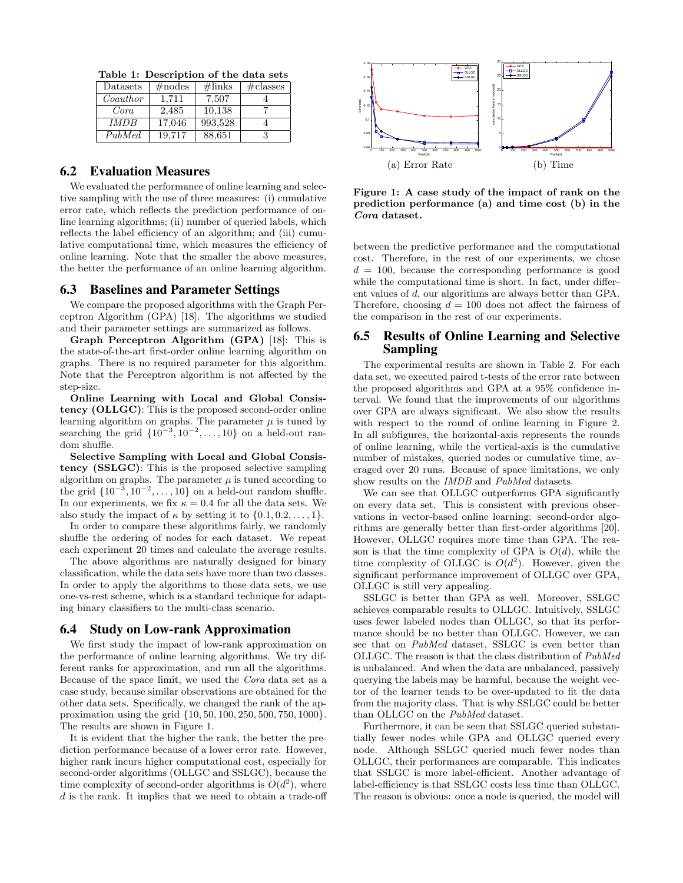| rapic 1. Description of the data sets |            |                  |              |  |  |  |  |  |
|---------------------------------------|------------|------------------|--------------|--|--|--|--|--|
| Datasets                              | $\#$ nodes | $\#\text{links}$ | $\#$ classes |  |  |  |  |  |
| Coauthor                              | 1.711      | 7.507            |              |  |  |  |  |  |
| Cora                                  | 2.485      | 10.138           |              |  |  |  |  |  |
| IMDR                                  | 17 046     | 993.528          |              |  |  |  |  |  |

 $PubMed \mid 19,717 \mid 88,651 \mid 3$ 

**Table 1: Description of the data sets**

# 6.2 Evaluation Measures

We evaluated the performance of online learning and selective sampling with the use of three measures: (i) cumulative error rate, which reflects the prediction performance of online learning algorithms; (ii) number of queried labels, which reflects the label efficiency of an algorithm; and (iii) cumulative computational time, which measures the efficiency of online learning. Note that the smaller the above measures, the better the performance of an online learning algorithm.

#### 6.3 Baselines and Parameter Settings

We compare the proposed algorithms with the Graph Perceptron Algorithm (GPA) [18]. The algorithms we studied and their parameter settings are summarized as follows.

**Graph Perceptron Algorithm (GPA)** [18]: This is the state-of-the-art first-order online learning algorithm on graphs. There is no required parameter for this algorithm. Note that the Perceptron algorithm is not affected by the step-size.

**Online Learning with Local and Global Consistency (OLLGC)**: This is the proposed second-order online learning algorithm on graphs. The parameter  $\mu$  is tuned by searching the grid  $\{10^{-3}, 10^{-2}, \ldots, 10\}$  on a held-out random shuffle.

**Selective Sampling with Local and Global Consistency (SSLGC)**: This is the proposed selective sampling algorithm on graphs. The parameter  $\mu$  is tuned according to the grid  $\{10^{-3}, 10^{-2}, \ldots, 10\}$  on a held-out random shuffle. In our experiments, we fix  $\kappa = 0.4$  for all the data sets. We also study the impact of  $\kappa$  by setting it to  $\{0.1, 0.2, \ldots, 1\}$ .

In order to compare these algorithms fairly, we randomly shuffle the ordering of nodes for each dataset. We repeat each experiment 20 times and calculate the average results.

The above algorithms are naturally designed for binary classification, while the data sets have more than two classes. In order to apply the algorithms to those data sets, we use one-vs-rest scheme, which is a standard technique for adapting binary classifiers to the multi-class scenario.

#### 6.4 Study on Low-rank Approximation

We first study the impact of low-rank approximation on the performance of online learning algorithms. We try different ranks for approximation, and run all the algorithms. Because of the space limit, we used the *Cora* data set as a case study, because similar observations are obtained for the other data sets. Specifically, we changed the rank of the approximation using the grid *{*10*,* 50*,* 100*,* 250*,* 500*,* 750*,* 1000*}*. The results are shown in Figure 1.

It is evident that the higher the rank, the better the prediction performance because of a lower error rate. However, higher rank incurs higher computational cost, especially for second-order algorithms (OLLGC and SSLGC), because the time complexity of second-order algorithms is  $O(d^2)$ , where *d* is the rank. It implies that we need to obtain a trade-off



**Figure 1: A case study of the impact of rank on the prediction performance (a) and time cost (b) in the** *Cora* **dataset.**

between the predictive performance and the computational cost. Therefore, in the rest of our experiments, we chose  $d = 100$ , because the corresponding performance is good while the computational time is short. In fact, under different values of *d*, our algorithms are always better than GPA. Therefore, choosing  $d = 100$  does not affect the fairness of the comparison in the rest of our experiments.

# 6.5 Results of Online Learning and Selective Sampling

The experimental results are shown in Table 2. For each data set, we executed paired t-tests of the error rate between the proposed algorithms and GPA at a 95% confidence interval. We found that the improvements of our algorithms over GPA are always significant. We also show the results with respect to the round of online learning in Figure 2. In all subfigures, the horizontal-axis represents the rounds of online learning, while the vertical-axis is the cumulative number of mistakes, queried nodes or cumulative time, averaged over 20 runs. Because of space limitations, we only show results on the *IMDB* and *PubMed* datasets.

We can see that OLLGC outperforms GPA significantly on every data set. This is consistent with previous observations in vector-based online learning: second-order algorithms are generally better than first-order algorithms [20]. However, OLLGC requires more time than GPA. The reason is that the time complexity of GPA is  $O(d)$ , while the time complexity of OLLGC is  $O(d^2)$ . However, given the significant performance improvement of OLLGC over GPA, OLLGC is still very appealing.

SSLGC is better than GPA as well. Moreover, SSLGC achieves comparable results to OLLGC. Intuitively, SSLGC uses fewer labeled nodes than OLLGC, so that its performance should be no better than OLLGC. However, we can see that on *PubMed* dataset, SSLGC is even better than OLLGC. The reason is that the class distribution of *PubMed* is unbalanced. And when the data are unbalanced, passively querying the labels may be harmful, because the weight vector of the learner tends to be over-updated to fit the data from the majority class. That is why SSLGC could be better than OLLGC on the *PubMed* dataset.

Furthermore, it can be seen that SSLGC queried substantially fewer nodes while GPA and OLLGC queried every node. Although SSLGC queried much fewer nodes than OLLGC, their performances are comparable. This indicates that SSLGC is more label-efficient. Another advantage of label-efficiency is that SSLGC costs less time than OLLGC. The reason is obvious: once a node is queried, the model will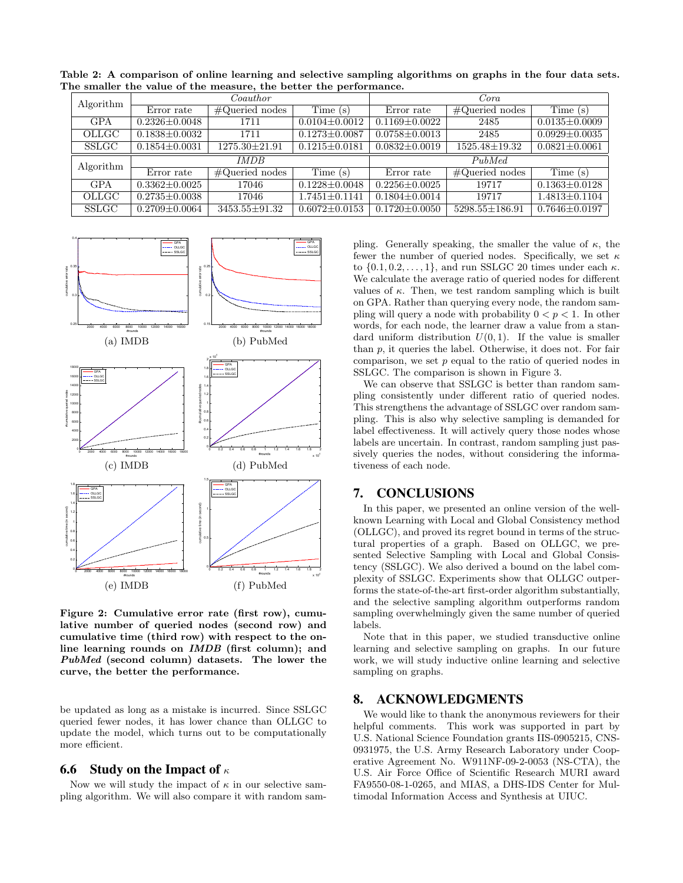| Algorithm    | $\it {Coauthor}$    |                                     |                     | Cora                |                          |                              |
|--------------|---------------------|-------------------------------------|---------------------|---------------------|--------------------------|------------------------------|
|              | Error rate          | $\overline{\text{\#Queried nodes}}$ | Time(s)             | Error rate          | $\#\text{Queried nodes}$ | Time(s)                      |
| <b>GPA</b>   | $0.2326 \pm 0.0048$ | 1711                                | $0.0104 \pm 0.0012$ | $0.1169 \pm 0.0022$ | 2485                     | $0.0135 \pm 0.0009$          |
| OLLGC        | $0.1838 \pm 0.0032$ | 1711                                | $0.1273 \pm 0.0087$ | $0.0758 \pm 0.0013$ | 2485                     | $0.0929 \pm 0.0035$          |
| SSLGC        | $0.1854 \pm 0.0031$ | 1275.30±21.91                       | $0.1215 \pm 0.0181$ | $0.0832 \pm 0.0019$ | 1525.48±19.32            | $0.0821 \pm 0.0061$          |
| Algorithm    | <b>IMDB</b>         |                                     |                     | PubMed              |                          |                              |
|              | Error rate          | $\#\text{Queried nodes}$            | Time(s)             | Error rate          | $\#\text{Queried nodes}$ | $\overline{\text{Time}}$ (s) |
| <b>GPA</b>   | $0.3362 \pm 0.0025$ | 17046                               | $0.1228 \pm 0.0048$ | $0.2256 \pm 0.0025$ | 19717                    | $0.1363 \pm 0.0128$          |
| OLLGC        | $0.2735 \pm 0.0038$ | 17046                               | $1.7451 \pm 0.1141$ | $0.1804 \pm 0.0014$ | 19717                    | $1.4813 \pm 0.1104$          |
| <b>SSLGC</b> | $0.2709 \pm 0.0064$ | 3453.55±91.32                       | $0.6072 \pm 0.0153$ | $0.1720 \pm 0.0050$ | $5298.55 \pm 186.91$     | $0.7646 \pm 0.0197$          |

**Table 2: A comparison of online learning and selective sampling algorithms on graphs in the four data sets. The smaller the value of the measure, the better the performance.**



**Figure 2: Cumulative error rate (first row), cumulative number of queried nodes (second row) and cumulative time (third row) with respect to the online learning rounds on** *IMDB* **(first column); and** *PubMed* **(second column) datasets. The lower the curve, the better the performance.**

be updated as long as a mistake is incurred. Since SSLGC queried fewer nodes, it has lower chance than OLLGC to update the model, which turns out to be computationally more efficient.

#### 6.6 Study on the Impact of *κ*

Now we will study the impact of  $\kappa$  in our selective sampling algorithm. We will also compare it with random sampling. Generally speaking, the smaller the value of *κ*, the fewer the number of queried nodes. Specifically, we set *κ* to  $\{0.1, 0.2, \ldots, 1\}$ , and run SSLGC 20 times under each  $\kappa$ . We calculate the average ratio of queried nodes for different values of  $\kappa$ . Then, we test random sampling which is built on GPA. Rather than querying every node, the random sampling will query a node with probability  $0 < p < 1$ . In other words, for each node, the learner draw a value from a standard uniform distribution  $U(0, 1)$ . If the value is smaller than *p*, it queries the label. Otherwise, it does not. For fair comparison, we set *p* equal to the ratio of queried nodes in SSLGC. The comparison is shown in Figure 3.

We can observe that SSLGC is better than random sampling consistently under different ratio of queried nodes. This strengthens the advantage of SSLGC over random sampling. This is also why selective sampling is demanded for label effectiveness. It will actively query those nodes whose labels are uncertain. In contrast, random sampling just passively queries the nodes, without considering the informativeness of each node.

# 7. CONCLUSIONS

In this paper, we presented an online version of the wellknown Learning with Local and Global Consistency method (OLLGC), and proved its regret bound in terms of the structural properties of a graph. Based on OLLGC, we presented Selective Sampling with Local and Global Consistency (SSLGC). We also derived a bound on the label complexity of SSLGC. Experiments show that OLLGC outperforms the state-of-the-art first-order algorithm substantially, and the selective sampling algorithm outperforms random sampling overwhelmingly given the same number of queried labels.

Note that in this paper, we studied transductive online learning and selective sampling on graphs. In our future work, we will study inductive online learning and selective sampling on graphs.

#### 8. ACKNOWLEDGMENTS

We would like to thank the anonymous reviewers for their helpful comments. This work was supported in part by U.S. National Science Foundation grants IIS-0905215, CNS-0931975, the U.S. Army Research Laboratory under Cooperative Agreement No. W911NF-09-2-0053 (NS-CTA), the U.S. Air Force Office of Scientific Research MURI award FA9550-08-1-0265, and MIAS, a DHS-IDS Center for Multimodal Information Access and Synthesis at UIUC.